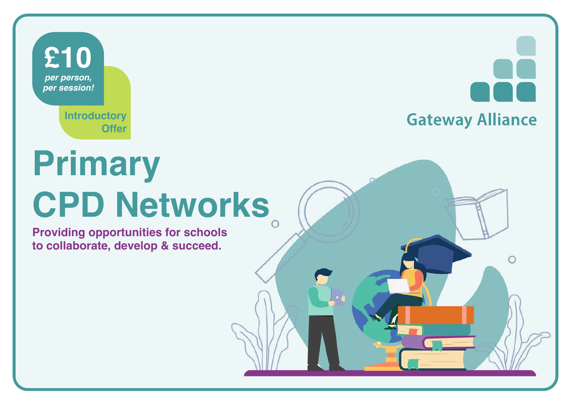

**Introductory Offer**

**Gateway Alliance** 

## **Primary CPD Networks**

**Providing opportunities for schools to collaborate, develop & succeed.**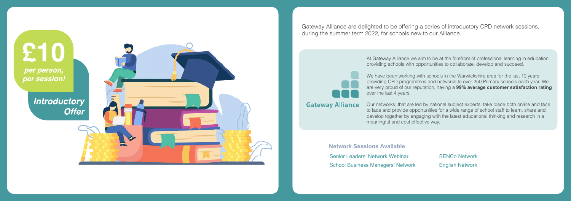£10 per person, per session!

> **Introductory Offer**



Gateway Alliance are delighted to be offering a series of introductory CPD network sessions, during the summer term 2022, for schools new to our Alliance.

> At Gateway Alliance we aim to be at the forefront of professional learning in education, providing schools with opportunities to collaborate, develop and succeed.

We have been working with schools in the Warwickshire area for the last 10 years, providing CPD programmes and networks to over 250 Primary schools each year. We are very proud of our reputation, having a **99% average customer satisfaction rating** over the last 4 years.

Our networks, that are led by national subject experts, take place both online and face to face and provide opportunities for a wide range of school staff to learn, share and develop together by engaging with the latest educational thinking and research in a meaningful and cost effective way.

**Network Sessions Available** Sen[ior Leaders' Network Webinar](#page-2-0) Sch[ool Business Managers' Network](#page-2-0)

**Gateway Alliance** 

[SENCo Network](#page-4-0) [English Network](#page-4-0)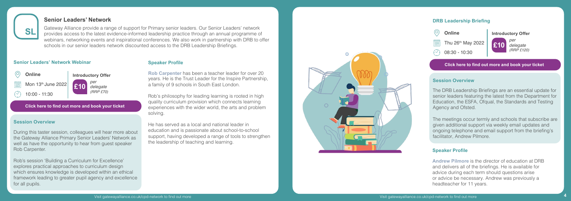<span id="page-2-0"></span>

#### **Senior Leaders' Network**

Gateway Alliance provide a range of support for Primary senior leaders. Our Senior Leaders' network provides access to the latest evidence-informed leadership practice through an annual programme of webinars, networking events and inspirational conferences. We also work in partnership with DRB to offer schools in our senior leaders network discounted access to the DRB Leadership Briefings.

#### **Senior Leaders' Network Webinar**



**Click here to fi[nd out more and book your ticket](https://gatewayalliance.co.uk/cpd-networks/)**

#### **Session Overview**

During this taster session, colleagues will hear more about the Gateway Alliance Primary Senior Leaders' Network as well as have the opportunity to hear from guest speaker Rob Carpenter.

Rob's session 'Building a Curriculum for Excellence' explores practical approaches to curriculum design which ensures knowledge is developed within an ethical framework leading to greater pupil agency and excellence for all pupils.

#### **Speaker Profile**

**Rob Carpenter** has been a teacher leader for over 20 years. He is the Trust Leader for the Inspire Partnership, a family of 9 schools in South East London.

Rob's philosophy for leading learning is rooted in high quality curriculum provision which connects learning experiences with the wider world, the arts and problem solving.

He has served as a local and national leader in education and is passionate about school-to-school support, having developed a range of tools to strengthen the leadership of teaching and learning.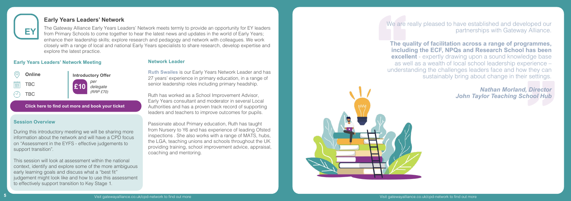We are really pleased to have established and developed our partnerships with Gateway Alliance.

**The quality of facilitation across a range of programmes, including the ECF, NPQs and Research School has been excellent** - expertly drawing upon a sound knowledge base as well as a wealth of local school leadership experience – understanding the challenges leaders face and how they can sustainably bring about change in their settings.

> *Nathan Morland, Director John Taylor Teaching School Hub*

<span id="page-3-0"></span>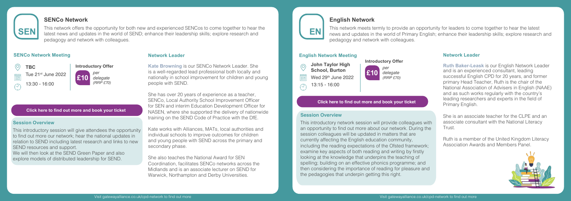<span id="page-4-0"></span>

#### **Network Leader**

**Kate Browning** is our SENCo Network Leader. She is a well-regarded lead professional both locally and nationally in school improvement for children and young people with SEND.

She has over 20 years of experience as a teacher, SENCo, Local Authority School Improvement Officer for SEN and interim Education Development Officer for NASEN, where she supported the delivery of nationwide training on the SEND Code of Practice with the DfE.

Kate works with Alliances, MATs, local authorities and individual schools to improve outcomes for children and young people with SEND across the primary and secondary phase.

She also teaches the National Award for SEN Coordination, facilitates SENCo networks across the Midlands and is an associate lecturer on SEND for Warwick, Northampton and Derby Universities.

#### **Introductory Offer £10** *per delegate (RRP £70)*

#### **English Network Meeting**



#### **Network Leader**



**Ruth Baker-Leask** is our English Network Leader and is an experienced consultant, leading successful English CPD for 20 years, and former primary Head Teacher, Ruth is the chair of the National Association of Advisers in English (NAAE) and as such works regularly with the country's leading researchers and experts in the field of Primary English.

She is an associate teacher for the CLPE and an associate consultant with the National Literacy Trust.

Ruth is a member of the United Kingdom Literacy Association Awards and Members Panel.



#### **Click here to find out more and book your ticket**

#### **Click here to find out more and book your ticket**

#### **Session Overview**

This introductory network session will provide colleagues with an opportunity to find out more about our network. During the [session colleagues will be updated in matters that are](https://gatewayalliance.co.uk/cpd-networks/)  currently affecting the English education community, including the reading expectations of the Ofsted framework; examine key aspects of both reading and writing by firstly looking at the knowledge that underpins the teaching of spelling; building on an effective phonics programme; and then considering the importance of reading for pleasure and the pedagogies that underpin getting this right.

### *delegate (RRP £70)*

#### **SENCo Network Meeting**

#### **SENCo Network**

This network offers the opportunity for both new and experienced SENCos to come together to hear the latest news and updates in the world of SEND; enhance their leadership skills; explore research and pedagogy and network with colleagues.

#### **Session Overview**

This introductory session will give attendees the opportunity [to find out more our network; hear the national updates in](https://gatewayalliance.co.uk/cpd-networks/) relation to SEND including latest research and links to new SEND resources and support.

We will then look at the SEND Green Paper and also explore models of distributed leadership for SEND.



#### **English Network**

This network meets termly to provide an opportunity for leaders to come together to hear the latest news and updates in the world of Primary English; enhance their leadership skills; explore research and pedagogy and network with colleagues.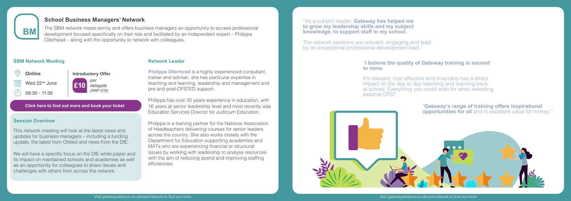#### **Network Leader**

**Philippa Ollerhead** is a highly experienced consultant, trainer and adviser, she has particular expertise in teaching and learning, leadership and management and pre and post-OFSTED support.

Philippa has over 30 years experience in education, with 16 years at senior leadership level and most recently was Education Services Director for Judicium Education.

The network sessions are relevant, engaging and lead by an exceptional professional development lead.'

Philippa is a training partner for the National Association of Headteachers delivering courses for senior leaders across the country. She also works closely with the Department for Education supporting academies and MATs who are experiencing financial or structural issues by working with leadership to analyse resources with the aim of reducing spend and improving staffing efficiencies.

"As a subject leader, **Gateway has helped me to grow my leadership skills and my subject knowledge, to support staff in my school.**



#### "**I believe the quality of Gateway training is second to none.**

It's relevant, cost effective and invariably has a direct impact on the day to day teaching and learning back at school. Everything you could wish for when selecting external CPD".



#### **SBM Network Meeting**



<span id="page-5-0"></span>

#### **School Business Managers' Network**

The SBM network meets termly and offers business managers an opportunity to access professional development focused specifically on their role and facilitated by an independent expert – Philippa Ollerhead – along with the opportunity to network with colleagues.

**Click here to fi[nd out more and book your ticket](https://gatewayalliance.co.uk/cpd-networks/)**

#### **Session Overview**

This network meeting will look at the latest news and updates for business managers – including a funding update, the latest from Ofsted and news from the DfE.

We will have a specific focus on the DfE white paper and its impact on maintained schools and academies as well as an opportunity for colleagues to share issues and challenges with others from across the network.